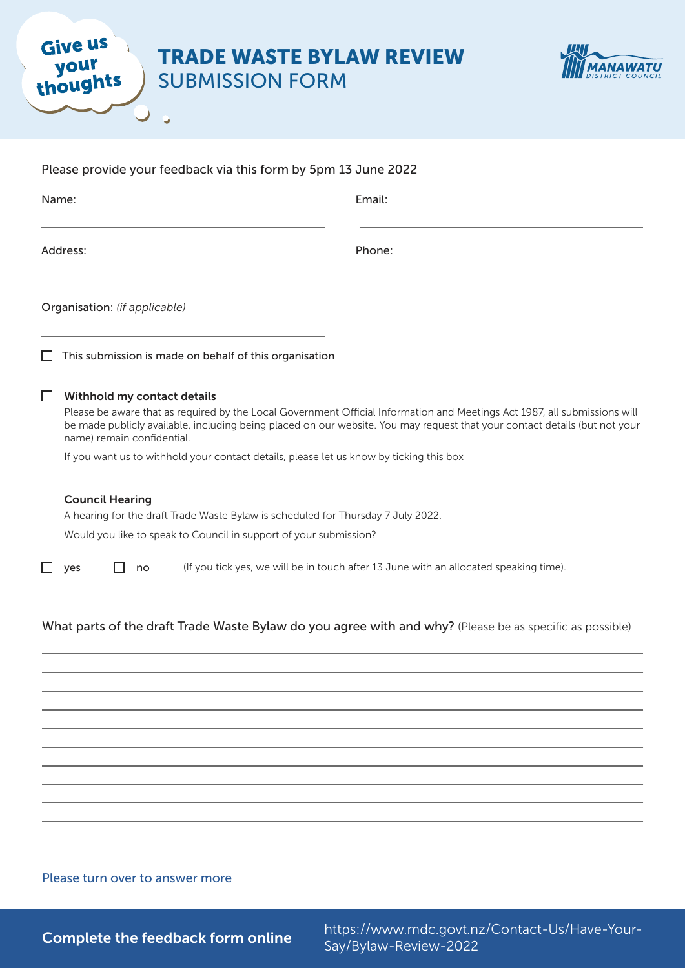# TRADE WASTE BYLAW REVIEW SUBMISSION FORM



|                   |                                                                                                                                                                                                                                                                                                                                                                                                                 |                               | Please provide your feedback via this form by 5pm 13 June 2022 |                                                                                                          |  |
|-------------------|-----------------------------------------------------------------------------------------------------------------------------------------------------------------------------------------------------------------------------------------------------------------------------------------------------------------------------------------------------------------------------------------------------------------|-------------------------------|----------------------------------------------------------------|----------------------------------------------------------------------------------------------------------|--|
| Name:<br>Address: |                                                                                                                                                                                                                                                                                                                                                                                                                 |                               |                                                                | Email:                                                                                                   |  |
|                   |                                                                                                                                                                                                                                                                                                                                                                                                                 |                               |                                                                | Phone:                                                                                                   |  |
|                   |                                                                                                                                                                                                                                                                                                                                                                                                                 | Organisation: (if applicable) |                                                                |                                                                                                          |  |
|                   |                                                                                                                                                                                                                                                                                                                                                                                                                 |                               | This submission is made on behalf of this organisation         |                                                                                                          |  |
| ப                 | Withhold my contact details<br>Please be aware that as required by the Local Government Official Information and Meetings Act 1987, all submissions will<br>be made publicly available, including being placed on our website. You may request that your contact details (but not your<br>name) remain confidential.<br>If you want us to withhold your contact details, please let us know by ticking this box |                               |                                                                |                                                                                                          |  |
|                   | <b>Council Hearing</b><br>A hearing for the draft Trade Waste Bylaw is scheduled for Thursday 7 July 2022.<br>Would you like to speak to Council in support of your submission?                                                                                                                                                                                                                                 |                               |                                                                |                                                                                                          |  |
|                   | yes                                                                                                                                                                                                                                                                                                                                                                                                             | no                            |                                                                | (If you tick yes, we will be in touch after 13 June with an allocated speaking time).                    |  |
|                   |                                                                                                                                                                                                                                                                                                                                                                                                                 |                               |                                                                | What parts of the draft Trade Waste Bylaw do you agree with and why? (Please be as specific as possible) |  |
|                   |                                                                                                                                                                                                                                                                                                                                                                                                                 |                               |                                                                |                                                                                                          |  |
|                   |                                                                                                                                                                                                                                                                                                                                                                                                                 |                               |                                                                |                                                                                                          |  |
|                   |                                                                                                                                                                                                                                                                                                                                                                                                                 |                               |                                                                |                                                                                                          |  |
|                   |                                                                                                                                                                                                                                                                                                                                                                                                                 |                               |                                                                |                                                                                                          |  |

**Give us** 

your<br>thoughts

ر  $\bullet$ 

Please turn over to answer more

Complete the feedback form online<br>
Complete the feedback form online<br>
Sav/Bylaw Bayiaw 2022 Say/Bylaw-Review-2022